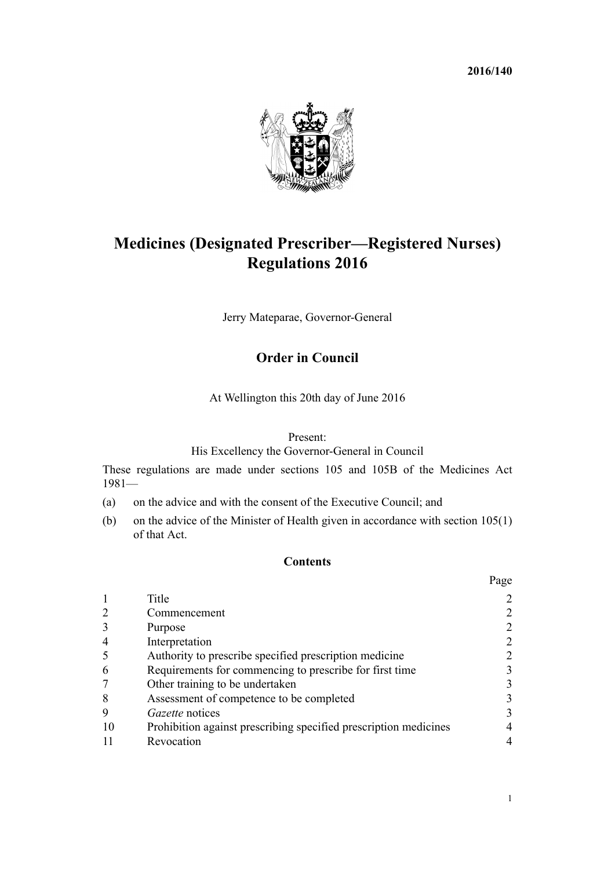**2016/140**



# **Medicines (Designated Prescriber—Registered Nurses) Regulations 2016**

Jerry Mateparae, Governor-General

# **Order in Council**

At Wellington this 20th day of June 2016

# Present:

His Excellency the Governor-General in Council

These regulations are made under [sections 105](http://prd-lgnz-nlb.prd.pco.net.nz/pdflink.aspx?id=DLM56564) and [105B](http://prd-lgnz-nlb.prd.pco.net.nz/pdflink.aspx?id=DLM56575) of the Medicines Act 1981—

- (a) on the advice and with the consent of the Executive Council; and
- (b) on the advice of the Minister of Health given in accordance with [section 105\(1\)](http://prd-lgnz-nlb.prd.pco.net.nz/pdflink.aspx?id=DLM56564) of that Act.

# **Contents**

|    |                                                                  | Page |
|----|------------------------------------------------------------------|------|
|    | Title                                                            |      |
|    | Commencement                                                     |      |
|    | Purpose                                                          |      |
| 4  | Interpretation                                                   |      |
|    | Authority to prescribe specified prescription medicine           |      |
| 6  | Requirements for commencing to prescribe for first time          | 3    |
|    | Other training to be undertaken                                  | 3    |
| 8  | Assessment of competence to be completed                         | 3    |
| 9  | Gazette notices                                                  | 3    |
| 10 | Prohibition against prescribing specified prescription medicines | 4    |
|    | Revocation                                                       | 4    |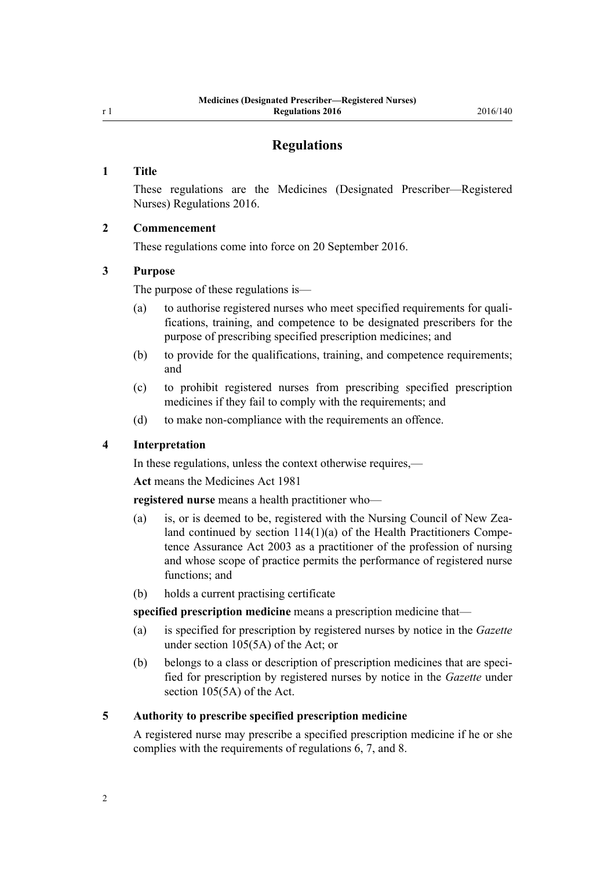# **Regulations**

#### <span id="page-1-0"></span>**1 Title**

These regulations are the Medicines (Designated Prescriber—Registered Nurses) Regulations 2016.

#### **2 Commencement**

These regulations come into force on 20 September 2016.

#### **3 Purpose**

The purpose of these regulations is—

- (a) to authorise registered nurses who meet specified requirements for qualifications, training, and competence to be designated prescribers for the purpose of prescribing specified prescription medicines; and
- (b) to provide for the qualifications, training, and competence requirements; and
- (c) to prohibit registered nurses from prescribing specified prescription medicines if they fail to comply with the requirements; and
- (d) to make non-compliance with the requirements an offence.

# **4 Interpretation**

In these regulations, unless the context otherwise requires,—

**Act** means the [Medicines Act 1981](http://prd-lgnz-nlb.prd.pco.net.nz/pdflink.aspx?id=DLM53789)

**registered nurse** means a health practitioner who—

- (a) is, or is deemed to be, registered with the Nursing Council of New Zealand continued by [section 114\(1\)\(a\)](http://prd-lgnz-nlb.prd.pco.net.nz/pdflink.aspx?id=DLM204329) of the Health Practitioners Competence Assurance Act 2003 as a practitioner of the profession of nursing and whose scope of practice permits the performance of registered nurse functions; and
- (b) holds a current practising certificate

**specified prescription medicine** means a prescription medicine that—

- (a) is specified for prescription by registered nurses by notice in the *Gazette* under [section 105\(5A\)](http://prd-lgnz-nlb.prd.pco.net.nz/pdflink.aspx?id=DLM56564) of the Act; or
- (b) belongs to a class or description of prescription medicines that are specified for prescription by registered nurses by notice in the *Gazette* under [section 105\(5A\)](http://prd-lgnz-nlb.prd.pco.net.nz/pdflink.aspx?id=DLM56564) of the Act.

#### **5 Authority to prescribe specified prescription medicine**

A registered nurse may prescribe a specified prescription medicine if he or she complies with the requirements of [regulations 6,](#page-2-0) [7](#page-2-0), and [8](#page-2-0).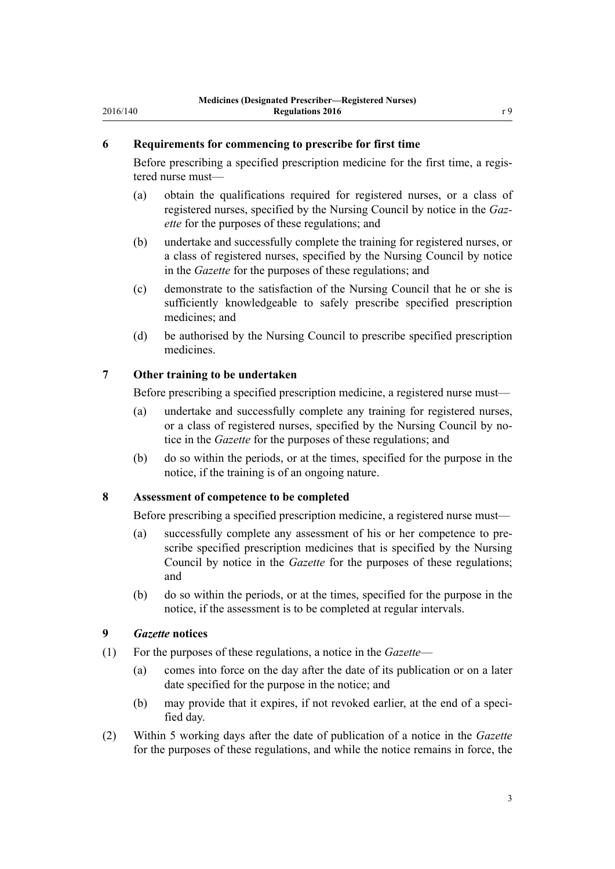#### <span id="page-2-0"></span>**6 Requirements for commencing to prescribe for first time**

Before prescribing a specified prescription medicine for the first time, a registered nurse must—

- (a) obtain the qualifications required for registered nurses, or a class of registered nurses, specified by the Nursing Council by notice in the *Gazette* for the purposes of these regulations; and
- (b) undertake and successfully complete the training for registered nurses, or a class of registered nurses, specified by the Nursing Council by notice in the *Gazette* for the purposes of these regulations; and
- (c) demonstrate to the satisfaction of the Nursing Council that he or she is sufficiently knowledgeable to safely prescribe specified prescription medicines; and
- (d) be authorised by the Nursing Council to prescribe specified prescription medicines.

#### **7 Other training to be undertaken**

Before prescribing a specified prescription medicine, a registered nurse must—

- (a) undertake and successfully complete any training for registered nurses, or a class of registered nurses, specified by the Nursing Council by notice in the *Gazette* for the purposes of these regulations; and
- (b) do so within the periods, or at the times, specified for the purpose in the notice, if the training is of an ongoing nature.

## **8 Assessment of competence to be completed**

Before prescribing a specified prescription medicine, a registered nurse must—

- (a) successfully complete any assessment of his or her competence to prescribe specified prescription medicines that is specified by the Nursing Council by notice in the *Gazette* for the purposes of these regulations; and
- (b) do so within the periods, or at the times, specified for the purpose in the notice, if the assessment is to be completed at regular intervals.

#### **9** *Gazette* **notices**

- (1) For the purposes of these regulations, a notice in the *Gazette*
	- (a) comes into force on the day after the date of its publication or on a later date specified for the purpose in the notice; and
	- (b) may provide that it expires, if not revoked earlier, at the end of a specified day.
- (2) Within 5 working days after the date of publication of a notice in the *Gazette* for the purposes of these regulations, and while the notice remains in force, the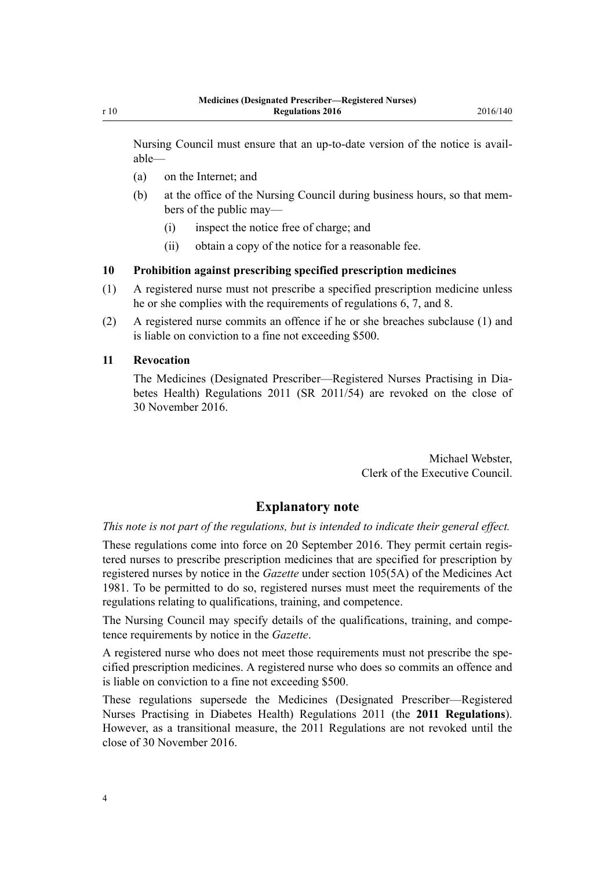<span id="page-3-0"></span>Nursing Council must ensure that an up-to-date version of the notice is available—

- (a) on the Internet; and
- (b) at the office of the Nursing Council during business hours, so that members of the public may—
	- (i) inspect the notice free of charge; and
	- (ii) obtain a copy of the notice for a reasonable fee.

#### **10 Prohibition against prescribing specified prescription medicines**

- (1) A registered nurse must not prescribe a specified prescription medicine unless he or she complies with the requirements of [regulations 6](#page-2-0), [7,](#page-2-0) and [8.](#page-2-0)
- (2) A registered nurse commits an offence if he or she breaches subclause (1) and is liable on conviction to a fine not exceeding \$500.

#### **11 Revocation**

The [Medicines \(Designated Prescriber—Registered Nurses Practising in Dia](http://prd-lgnz-nlb.prd.pco.net.nz/pdflink.aspx?id=DLM3589234)[betes Health\) Regulations 2011](http://prd-lgnz-nlb.prd.pco.net.nz/pdflink.aspx?id=DLM3589234) (SR 2011/54) are revoked on the close of 30 November 2016.

> Michael Webster, Clerk of the Executive Council.

# **Explanatory note**

*This note is not part of the regulations, but is intended to indicate their general effect.*

These regulations come into force on 20 September 2016. They permit certain registered nurses to prescribe prescription medicines that are specified for prescription by registered nurses by notice in the *Gazette* under [section 105\(5A\)](http://prd-lgnz-nlb.prd.pco.net.nz/pdflink.aspx?id=DLM56564) of the Medicines Act 1981. To be permitted to do so, registered nurses must meet the requirements of the regulations relating to qualifications, training, and competence.

The Nursing Council may specify details of the qualifications, training, and competence requirements by notice in the *Gazette*.

A registered nurse who does not meet those requirements must not prescribe the specified prescription medicines. A registered nurse who does so commits an offence and is liable on conviction to a fine not exceeding \$500.

These regulations supersede the [Medicines \(Designated Prescriber—Registered](http://prd-lgnz-nlb.prd.pco.net.nz/pdflink.aspx?id=DLM3589234) [Nurses Practising in Diabetes Health\) Regulations 2011](http://prd-lgnz-nlb.prd.pco.net.nz/pdflink.aspx?id=DLM3589234) (the **2011 Regulations**). However, as a transitional measure, the 2011 Regulations are not revoked until the close of 30 November 2016.